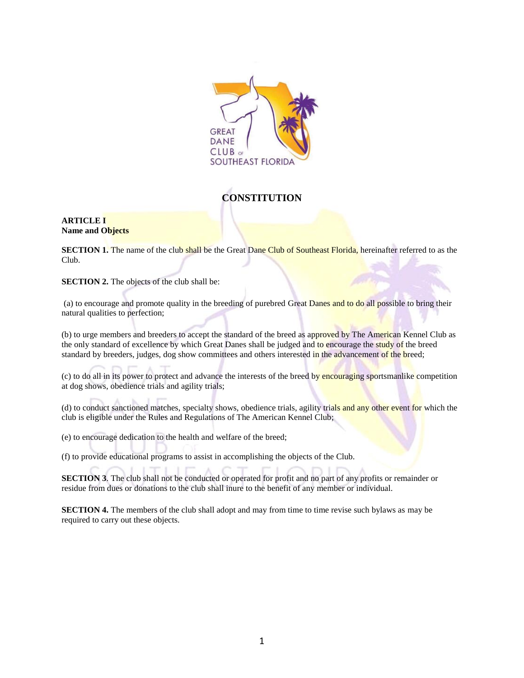

# **CONSTITUTION**

## **ARTICLE I Name and Objects**

**SECTION 1.** The name of the club shall be the Great Dane Club of Southeast Florida, hereinafter referred to as the Club.

**SECTION 2.** The objects of the club shall be:

(a) to encourage and promote quality in the breeding of purebred Great Danes and to do all possible to bring their natural qualities to perfection;

(b) to urge members and breeders to accept the standard of the breed as approved by The American Kennel Club as the only standard of excellence by which Great Danes shall be judged and to encourage the study of the breed standard by breeders, judges, dog show committees and others interested in the advancement of the breed;

(c) to do all in its power to protect and advance the interests of the breed by encouraging sportsmanlike competition at dog shows, obedience trials and agility trials;

(d) to conduct sanctioned matches, specialty shows, obedience trials, agility trials and any other event for which the club is eligible under the Rules and Regulations of The American Kennel Club;

(e) to encourage dedication to the health and welfare of the breed;

(f) to provide educational programs to assist in accomplishing the objects of the Club.

**SECTION 3**. The club shall not be conducted or operated for profit and no part of any profits or remainder or residue from dues or donations to the club shall inure to the benefit of any member or individual.

**SECTION 4.** The members of the club shall adopt and may from time to time revise such bylaws as may be required to carry out these objects.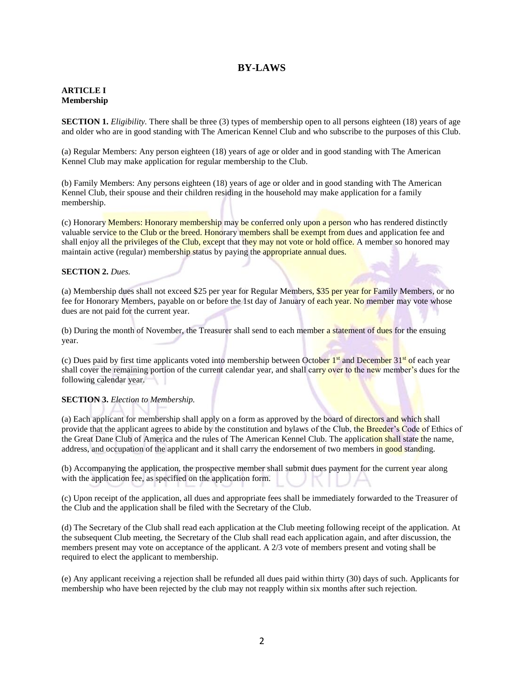# **BY-LAWS**

#### **ARTICLE I Membership**

**SECTION 1.** *Eligibility*. There shall be three (3) types of membership open to all persons eighteen (18) years of age and older who are in good standing with The American Kennel Club and who subscribe to the purposes of this Club.

(a) Regular Members: Any person eighteen (18) years of age or older and in good standing with The American Kennel Club may make application for regular membership to the Club.

(b) Family Members: Any persons eighteen (18) years of age or older and in good standing with The American Kennel Club, their spouse and their children residing in the household may make application for a family membership.

(c) Honorary Members: Honorary membership may be conferred only upon a person who has rendered distinctly valuable service to the Club or the breed. Honorary members shall be exempt from dues and application fee and shall enjoy all the privileges of the Club, except that they may not vote or hold office. A member so honored may maintain active (regular) membership status by paying the appropriate annual dues.

#### **SECTION 2.** *Dues.*

(a) Membership dues shall not exceed \$25 per year for Regular Members, \$35 per year for Family Members, or no fee for Honorary Members, payable on or before the 1st day of January of each year. No member may vote whose dues are not paid for the current year.

(b) During the month of November, the Treasurer shall send to each member a statement of dues for the ensuing year.

(c) Dues paid by first time applicants voted into membership between October 1<sup>st</sup> and December 31<sup>st</sup> of each year shall cover the remaining portion of the current calendar year, and shall carry over to the new member's dues for the following calendar year.

# **SECTION 3.** *Election to Membership.*

(a) Each applicant for membership shall apply on a form as approved by the board of directors and which shall provide that the applicant agrees to abide by the constitution and bylaws of the Club, the Breeder's Code of Ethics of the Great Dane Club of America and the rules of The American Kennel Club. The application shall state the name, address, and occupation of the applicant and it shall carry the endorsement of two members in good standing.

(b) Accompanying the application, the prospective member shall submit dues payment for the current year along with the application fee, as specified on the application form.

(c) Upon receipt of the application, all dues and appropriate fees shall be immediately forwarded to the Treasurer of the Club and the application shall be filed with the Secretary of the Club.

(d) The Secretary of the Club shall read each application at the Club meeting following receipt of the application. At the subsequent Club meeting, the Secretary of the Club shall read each application again, and after discussion, the members present may vote on acceptance of the applicant. A 2/3 vote of members present and voting shall be required to elect the applicant to membership.

(e) Any applicant receiving a rejection shall be refunded all dues paid within thirty (30) days of such. Applicants for membership who have been rejected by the club may not reapply within six months after such rejection.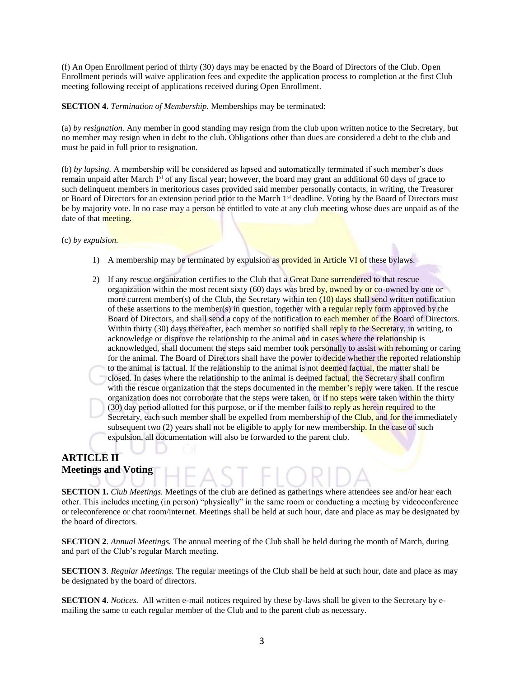(f) An Open Enrollment period of thirty (30) days may be enacted by the Board of Directors of the Club. Open Enrollment periods will waive application fees and expedite the application process to completion at the first Club meeting following receipt of applications received during Open Enrollment.

**SECTION 4.** *Termination of Membership.* Memberships may be terminated:

(a) *by resignation.* Any member in good standing may resign from the club upon written notice to the Secretary, but no member may resign when in debt to the club. Obligations other than dues are considered a debt to the club and must be paid in full prior to resignation.

(b) *by lapsing.* A membership will be considered as lapsed and automatically terminated if such member's dues remain unpaid after March 1<sup>st</sup> of any fiscal year; however, the board may grant an additional 60 days of grace to such delinquent members in meritorious cases provided said member personally contacts, in writing, the Treasurer or Board of Directors for an extension period prior to the March 1<sup>st</sup> deadline. Voting by the Board of Directors must be by majority vote. In no case may a person be entitled to vote at any club meeting whose dues are unpaid as of the date of that meeting.

(c) *by expulsion.* 

- 1) A membership may be terminated by expulsion as provided in Article VI of these bylaws.
- 2) If any rescue organization certifies to the Club that a Great Dane surrendered to that rescue organization within the most recent sixty  $(60)$  days was bread by, owned by or co-owned by one or more current member(s) of the Club, the Secretary within ten (10) days shall send written notification of these assertions to the member(s) in question, together with a regular reply form approved by the Board of Directors, and shall send a copy of the notification to each member of the Board of Directors. Within thirty (30) days thereafter, each member so notified shall reply to the Secretary, in writing, to acknowledge or disprove the relationship to the animal and in cases where the relationship is acknowledged, shall document the steps said member took personally to assist with rehoming or caring for the animal. The Board of Directors shall have the power to decide whether the reported relationship to the animal is factual. If the relationship to the animal is not deemed factual, the matter shall be closed. In cases where the relationship to the animal is deemed factual, the Secretary shall confirm with the rescue organization that the steps documented in the member's reply were taken. If the rescue organization does not corroborate that the steps were taken, or if no steps were taken within the thirty (30) day period allotted for this purpose, or if the member fails to reply as herein required to the Secretary, each such member shall be expelled from membership of the Club, and for the immediately subsequent two (2) years shall not be eligible to apply for new membership. In the case of such expulsion, all documentation will also be forwarded to the parent club.

# **ARTICLE II Meetings and Voting**

**SECTION 1.** *Club Meetings*. Meetings of the club are defined as gatherings where attendees see and/or hear each other. This includes meeting (in person) "physically" in the same room or conducting a meeting by videoconference or teleconference or chat room/internet. Meetings shall be held at such hour, date and place as may be designated by the board of directors.

**SECTION 2**. *Annual Meetings.* The annual meeting of the Club shall be held during the month of March, during and part of the Club's regular March meeting.

**SECTION 3**. *Regular Meetings.* The regular meetings of the Club shall be held at such hour, date and place as may be designated by the board of directors.

**SECTION 4**. *Notices.* All written e-mail notices required by these by-laws shall be given to the Secretary by emailing the same to each regular member of the Club and to the parent club as necessary.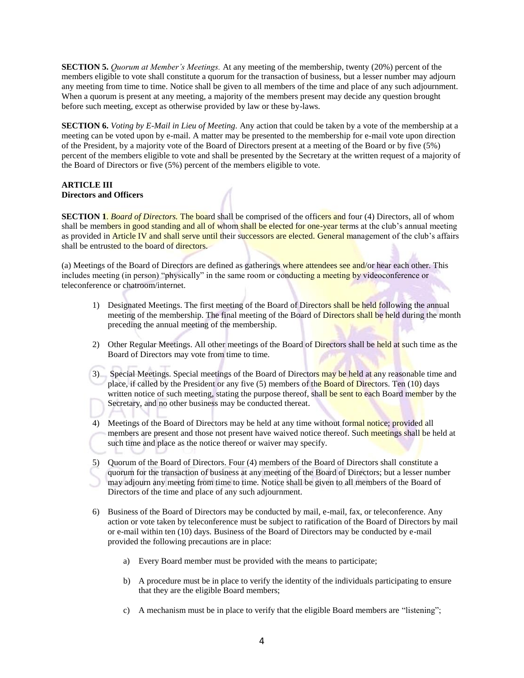**SECTION 5.** *Quorum at Member's Meetings.* At any meeting of the membership, twenty (20%) percent of the members eligible to vote shall constitute a quorum for the transaction of business, but a lesser number may adjourn any meeting from time to time. Notice shall be given to all members of the time and place of any such adjournment. When a quorum is present at any meeting, a majority of the members present may decide any question brought before such meeting, except as otherwise provided by law or these by-laws.

**SECTION 6.** *Voting by E-Mail in Lieu of Meeting.* Any action that could be taken by a vote of the membership at a meeting can be voted upon by e-mail. A matter may be presented to the membership for e-mail vote upon direction of the President, by a majority vote of the Board of Directors present at a meeting of the Board or by five (5%) percent of the members eligible to vote and shall be presented by the Secretary at the written request of a majority of the Board of Directors or five (5%) percent of the members eligible to vote.

# **ARTICLE III Directors and Officers**

**SECTION 1.** *Board of Directors.* The board shall be comprised of the officers and four (4) Directors, all of whom shall be members in good standing and all of whom shall be elected for one-year terms at the club's annual meeting as provided in Article IV and shall serve until their successors are elected. General management of the club's affairs shall be entrusted to the board of directors.

(a) Meetings of the Board of Directors are defined as gatherings where attendees see and/or hear each other. This includes meeting (in person) "physically" in the same room or conducting a meeting by videoconference or teleconference or chatroom/internet.

- 1) Designated Meetings. The first meeting of the Board of Directors shall be held following the annual meeting of the membership. The final meeting of the Board of Directors shall be held during the month preceding the annual meeting of the membership.
- 2) Other Regular Meetings. All other meetings of the Board of Directors shall be held at such time as the Board of Directors may vote from time to time.
- 3) Special Meetings. Special meetings of the Board of Directors may be held at any reasonable time and place, if called by the President or any five (5) members of the **Board of Directors**. Ten (10) days written notice of such meeting, stating the purpose thereof, shall be sent to each Board member by the Secretary, and no other business may be conducted thereat.
- 4) Meetings of the Board of Directors may be held at any time without formal notice; provided all members are present and those not present have waived notice thereof. Such meetings shall be held at such time and place as the notice thereof or waiver may specify.
- 5) Quorum of the Board of Directors. Four (4) members of the Board of Directors shall constitute a quorum for the transaction of business at any meeting of the Board of Directors; but a lesser number may adjourn any meeting from time to time. Notice shall be given to all members of the Board of Directors of the time and place of any such adjournment.
- 6) Business of the Board of Directors may be conducted by mail, e-mail, fax, or teleconference. Any action or vote taken by teleconference must be subject to ratification of the Board of Directors by mail or e-mail within ten (10) days. Business of the Board of Directors may be conducted by e-mail provided the following precautions are in place:
	- a) Every Board member must be provided with the means to participate;
	- b) A procedure must be in place to verify the identity of the individuals participating to ensure that they are the eligible Board members;
	- c) A mechanism must be in place to verify that the eligible Board members are "listening";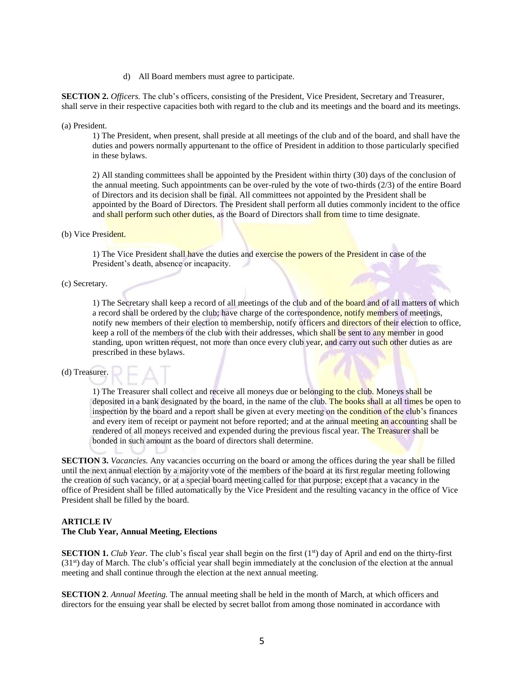d) All Board members must agree to participate.

**SECTION 2.** *Officers.* The club's officers, consisting of the President, Vice President, Secretary and Treasurer, shall serve in their respective capacities both with regard to the club and its meetings and the board and its meetings.

(a) President.

1) The President, when present, shall preside at all meetings of the club and of the board, and shall have the duties and powers normally appurtenant to the office of President in addition to those particularly specified in these bylaws.

2) All standing committees shall be appointed by the President within thirty (30) days of the conclusion of the annual meeting. Such appointments can be over-ruled by the vote of two-thirds (2/3) of the entire Board of Directors and its decision shall be final. All committees not appointed by the President shall be appointed by the Board of Directors. The President shall perform all duties commonly incident to the office and shall perform such other duties, as the Board of Directors shall from time to time designate.

#### (b) Vice President.

1) The Vice President shall have the duties and exercise the powers of the President in case of the President's death, absence or incapacity.

#### (c) Secretary.

1) The Secretary shall keep a record of all meetings of the club and of the board and of all matters of which a record shall be ordered by the club; have charge of the correspondence, notify members of meetings, notify new members of their election to membership, notify officers and directors of their election to office, keep a roll of the members of the club with their addresses, which shall be sent to any member in good standing, upon written request, not more than once every club year, and carry out such other duties as are prescribed in these bylaws.

#### (d) Treasurer.

1) The Treasurer shall collect and receive all moneys due or belonging to the club. Moneys shall be deposited in a bank designated by the board, in the name of the club. The books shall at all times be open to inspection by the board and a report shall be given at every meeting on the condition of the club's finances and every item of receipt or payment not before reported; and at the annual meeting an accounting shall be rendered of all moneys received and expended during the previous fiscal year. The Treasurer shall be bonded in such amount as the board of directors shall determine.

**SECTION 3.** *Vacancies.* Any vacancies occurring on the board or among the offices during the year shall be filled until the next annual election by a majority vote of the members of the board at its first regular meeting following the creation of such vacancy, or at a special board meeting called for that purpose; except that a vacancy in the office of President shall be filled automatically by the Vice President and the resulting vacancy in the office of Vice President shall be filled by the board.

#### **ARTICLE IV**

## **The Club Year, Annual Meeting, Elections**

**SECTION 1.** *Club Year.* The club's fiscal year shall begin on the first (1<sup>st</sup>) day of April and end on the thirty-first  $(31<sup>st</sup>)$  day of March. The club's official year shall begin immediately at the conclusion of the election at the annual meeting and shall continue through the election at the next annual meeting.

**SECTION 2**. *Annual Meeting.* The annual meeting shall be held in the month of March, at which officers and directors for the ensuing year shall be elected by secret ballot from among those nominated in accordance with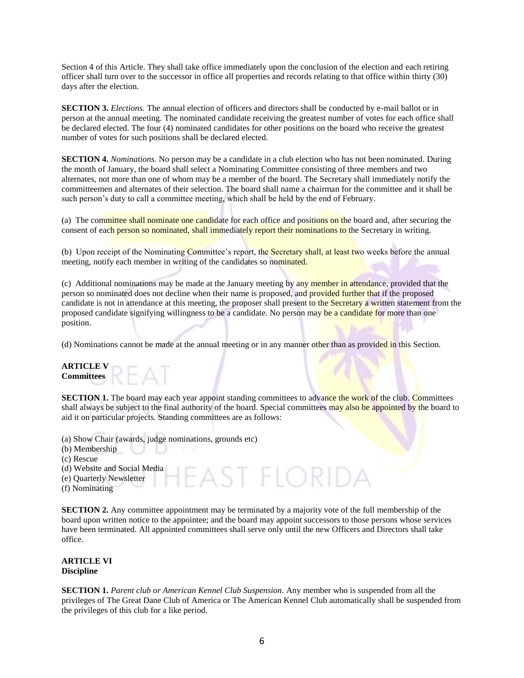Section 4 of this Article. They shall take office immediately upon the conclusion of the election and each retiring officer shall turn over to the successor in office all properties and records relating to that office within thirty (30) days after the election.

**SECTION 3.** *Elections.* The annual election of officers and directors shall be conducted by e-mail ballot or in person at the annual meeting. The nominated candidate receiving the greatest number of votes for each office shall be declared elected. The four (4) nominated candidates for other positions on the board who receive the greatest number of votes for such positions shall be declared elected.

**SECTION 4.** *Nominations.* No person may be a candidate in a club election who has not been nominated. During the month of January, the board shall select a Nominating Committee consisting of three members and two alternates, not more than one of whom may be a member of the board. The Secretary shall immediately notify the committeemen and alternates of their selection. The board shall name a chairman for the committee and it shall be such person's duty to call a committee meeting, which shall be held by the end of February.

(a) The committee shall nominate one candidate for each office and positions on the board and, after securing the consent of each person so nominated, shall immediately report their nominations to the Secretary in writing.

(b) Upon receipt of the Nominating Committee's report, the Secretary shall, at least two weeks before the annual meeting, notify each member in writing of the candidates so nominated.

(c) Additional nominations may be made at the January meeting by any member in attendance, provided that the person so nominated does not decline when their name is proposed, and provided further that if the proposed candidate is not in attendance at this meeting, the proposer shall present to the Secretary a written statement from the proposed candidate signifying willingness to be a candidate. No person may be a candidate for more than one position.

(d) Nominations cannot be made at the annual meeting or in any manner other than as provided in this Section.

# **ARTICLE V Committees**

**SECTION 1.** The board may each year appoint standing committees to advance the work of the club. Committees shall always be subject to the final authority of the board. Special committees may also be appointed by the board to aid it on particular projects. Standing committees are as follows:

- (a) Show Chair (awards, judge nominations, grounds etc)
- (b) Membership
- (c) Rescue
- (d) Website and Social Media
- (e) Quarterly Newsletter
- (f) Nominating

**SECTION 2.** Any committee appointment may be terminated by a majority vote of the full membership of the board upon written notice to the appointee; and the board may appoint successors to those persons whose services have been terminated. All appointed committees shall serve only until the new Officers and Directors shall take office.

EAST FL

# **ARTICLE VI Discipline**

**SECTION 1.** *Parent club or American Kennel Club Suspension.* Any member who is suspended from all the privileges of The Great Dane Club of America or The American Kennel Club automatically shall be suspended from the privileges of this club for a like period.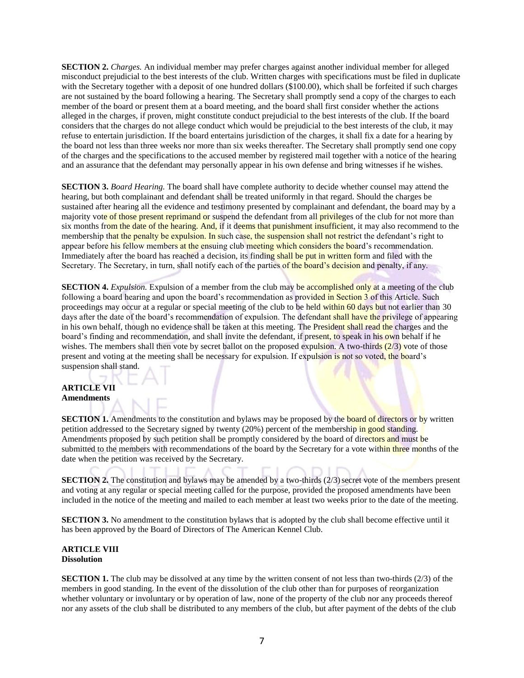**SECTION 2.** *Charges.* An individual member may prefer charges against another individual member for alleged misconduct prejudicial to the best interests of the club. Written charges with specifications must be filed in duplicate with the Secretary together with a deposit of one hundred dollars (\$100.00), which shall be forfeited if such charges are not sustained by the board following a hearing. The Secretary shall promptly send a copy of the charges to each member of the board or present them at a board meeting, and the board shall first consider whether the actions alleged in the charges, if proven, might constitute conduct prejudicial to the best interests of the club. If the board considers that the charges do not allege conduct which would be prejudicial to the best interests of the club, it may refuse to entertain jurisdiction. If the board entertains jurisdiction of the charges, it shall fix a date for a hearing by the board not less than three weeks nor more than six weeks thereafter. The Secretary shall promptly send one copy of the charges and the specifications to the accused member by registered mail together with a notice of the hearing and an assurance that the defendant may personally appear in his own defense and bring witnesses if he wishes.

**SECTION 3.** *Board Hearing.* The board shall have complete authority to decide whether counsel may attend the hearing, but both complainant and defendant shall be treated uniformly in that regard. Should the charges be sustained after hearing all the evidence and testimony presented by complainant and defendant, the board may by a majority vote of those present reprimand or suspend the defendant from all privileges of the club for not more than six months from the date of the hearing. And, if it deems that punishment insufficient, it may also recommend to the membership that the penalty be expulsion. In such case, the suspension shall not restrict the defendant's right to appear before his fellow members at the ensuing club meeting which considers the board's recommendation. Immediately after the board has reached a decision, its finding shall be put in written form and filed with the Secretary. The Secretary, in turn, shall notify each of the parties of the board's decision and penalty, if any.

**SECTION 4.** *Expulsion*. Expulsion of a member from the club may be accomplished only at a meeting of the club following a board hearing and upon the board's recommendation as provided in Section 3 of this Article. Such proceedings may occur at a regular or special meeting of the club to be held within 60 days but not earlier than 30 days after the date of the board's recommendation of expulsion. The defendant shall have the privilege of appearing in his own behalf, though no evidence shall be taken at this meeting. The President shall read the charges and the board's finding and recommendation, and shall invite the defendant, if present, to speak in his own behalf if he wishes. The members shall then vote by secret ballot on the proposed expulsion. A two-thirds  $(2/3)$  vote of those present and voting at the meeting shall be necessary for expulsion. If expulsion is not so voted, the board's suspension shall stand.

# **ARTICLE VII Amendments**

**SECTION 1.** Amendments to the constitution and bylaws may be proposed by the board of directors or by written petition addressed to the Secretary signed by twenty (20%) percent of the membership in good standing. Amendments proposed by such petition shall be promptly considered by the board of directors and must be submitted to the members with recommendations of the board by the Secretary for a vote within three months of the date when the petition was received by the Secretary.

**SECTION 2.** The constitution and bylaws may be amended by a two-thirds (2/3) secret vote of the members present and voting at any regular or special meeting called for the purpose, provided the proposed amendments have been included in the notice of the meeting and mailed to each member at least two weeks prior to the date of the meeting.

**SECTION 3.** No amendment to the constitution bylaws that is adopted by the club shall become effective until it has been approved by the Board of Directors of The American Kennel Club.

#### **ARTICLE VIII Dissolution**

**SECTION 1.** The club may be dissolved at any time by the written consent of not less than two-thirds (2/3) of the members in good standing. In the event of the dissolution of the club other than for purposes of reorganization whether voluntary or involuntary or by operation of law, none of the property of the club nor any proceeds thereof nor any assets of the club shall be distributed to any members of the club, but after payment of the debts of the club